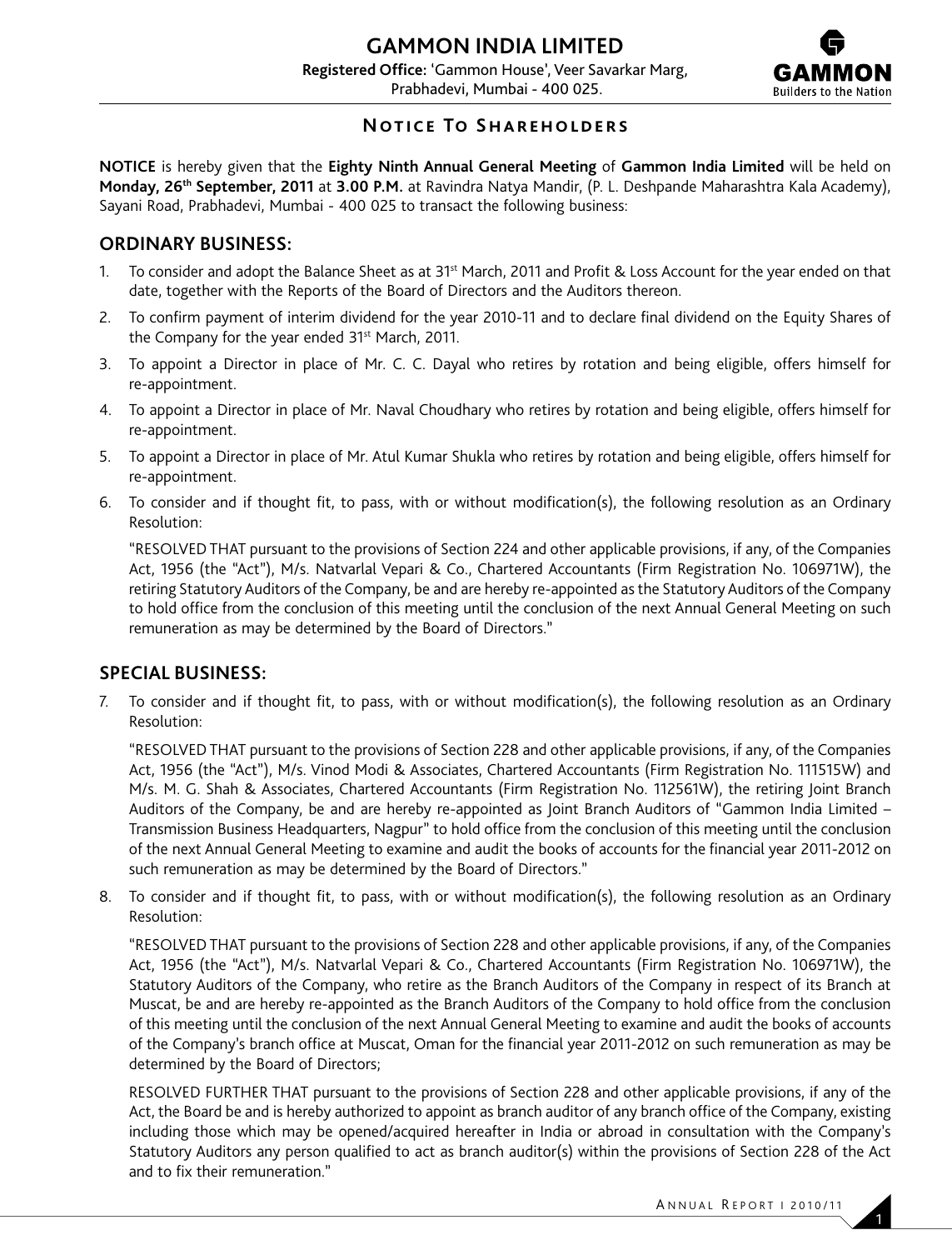

## **Notice To Shareholders**

**NOTICE** is hereby given that the **Eighty Ninth Annual General Meeting** of **Gammon India Limited** will be held on **Monday, 26th September, 2011** at **3.00 P.M.** at Ravindra Natya Mandir, (P. L. Deshpande Maharashtra Kala Academy), Sayani Road, Prabhadevi, Mumbai - 400 025 to transact the following business:

## **ORDINARY BUSINESS:**

- 1. To consider and adopt the Balance Sheet as at 31<sup>st</sup> March, 2011 and Profit & Loss Account for the year ended on that date, together with the Reports of the Board of Directors and the Auditors thereon.
- 2. To confirm payment of interim dividend for the year 2010-11 and to declare final dividend on the Equity Shares of the Company for the year ended 31<sup>st</sup> March, 2011.
- 3. To appoint a Director in place of Mr. C. C. Dayal who retires by rotation and being eligible, offers himself for re-appointment.
- 4. To appoint a Director in place of Mr. Naval Choudhary who retires by rotation and being eligible, offers himself for re-appointment.
- 5. To appoint a Director in place of Mr. Atul Kumar Shukla who retires by rotation and being eligible, offers himself for re-appointment.
- 6. To consider and if thought fit, to pass, with or without modification(s), the following resolution as an Ordinary Resolution:

 "RESOLVED THAT pursuant to the provisions of Section 224 and other applicable provisions, if any, of the Companies Act, 1956 (the "Act"), M/s. Natvarlal Vepari & Co., Chartered Accountants (Firm Registration No. 106971W), the retiring Statutory Auditors of the Company, be and are hereby re-appointed as the Statutory Auditors of the Company to hold office from the conclusion of this meeting until the conclusion of the next Annual General Meeting on such remuneration as may be determined by the Board of Directors."

## **SPECIAL BUSINESS:**

7. To consider and if thought fit, to pass, with or without modification(s), the following resolution as an Ordinary Resolution:

 "RESOLVED THAT pursuant to the provisions of Section 228 and other applicable provisions, if any, of the Companies Act, 1956 (the "Act"), M/s. Vinod Modi & Associates, Chartered Accountants (Firm Registration No. 111515W) and M/s. M. G. Shah & Associates, Chartered Accountants (Firm Registration No. 112561W), the retiring Joint Branch Auditors of the Company, be and are hereby re-appointed as Joint Branch Auditors of "Gammon India Limited – Transmission Business Headquarters, Nagpur" to hold office from the conclusion of this meeting until the conclusion of the next Annual General Meeting to examine and audit the books of accounts for the financial year 2011-2012 on such remuneration as may be determined by the Board of Directors."

8. To consider and if thought fit, to pass, with or without modification(s), the following resolution as an Ordinary Resolution:

 "RESOLVED THAT pursuant to the provisions of Section 228 and other applicable provisions, if any, of the Companies Act, 1956 (the "Act"), M/s. Natvarlal Vepari & Co., Chartered Accountants (Firm Registration No. 106971W), the Statutory Auditors of the Company, who retire as the Branch Auditors of the Company in respect of its Branch at Muscat, be and are hereby re-appointed as the Branch Auditors of the Company to hold office from the conclusion of this meeting until the conclusion of the next Annual General Meeting to examine and audit the books of accounts of the Company's branch office at Muscat, Oman for the financial year 2011-2012 on such remuneration as may be determined by the Board of Directors;

 RESOLVED FURTHER THAT pursuant to the provisions of Section 228 and other applicable provisions, if any of the Act, the Board be and is hereby authorized to appoint as branch auditor of any branch office of the Company, existing including those which may be opened/acquired hereafter in India or abroad in consultation with the Company's Statutory Auditors any person qualified to act as branch auditor(s) within the provisions of Section 228 of the Act and to fix their remuneration."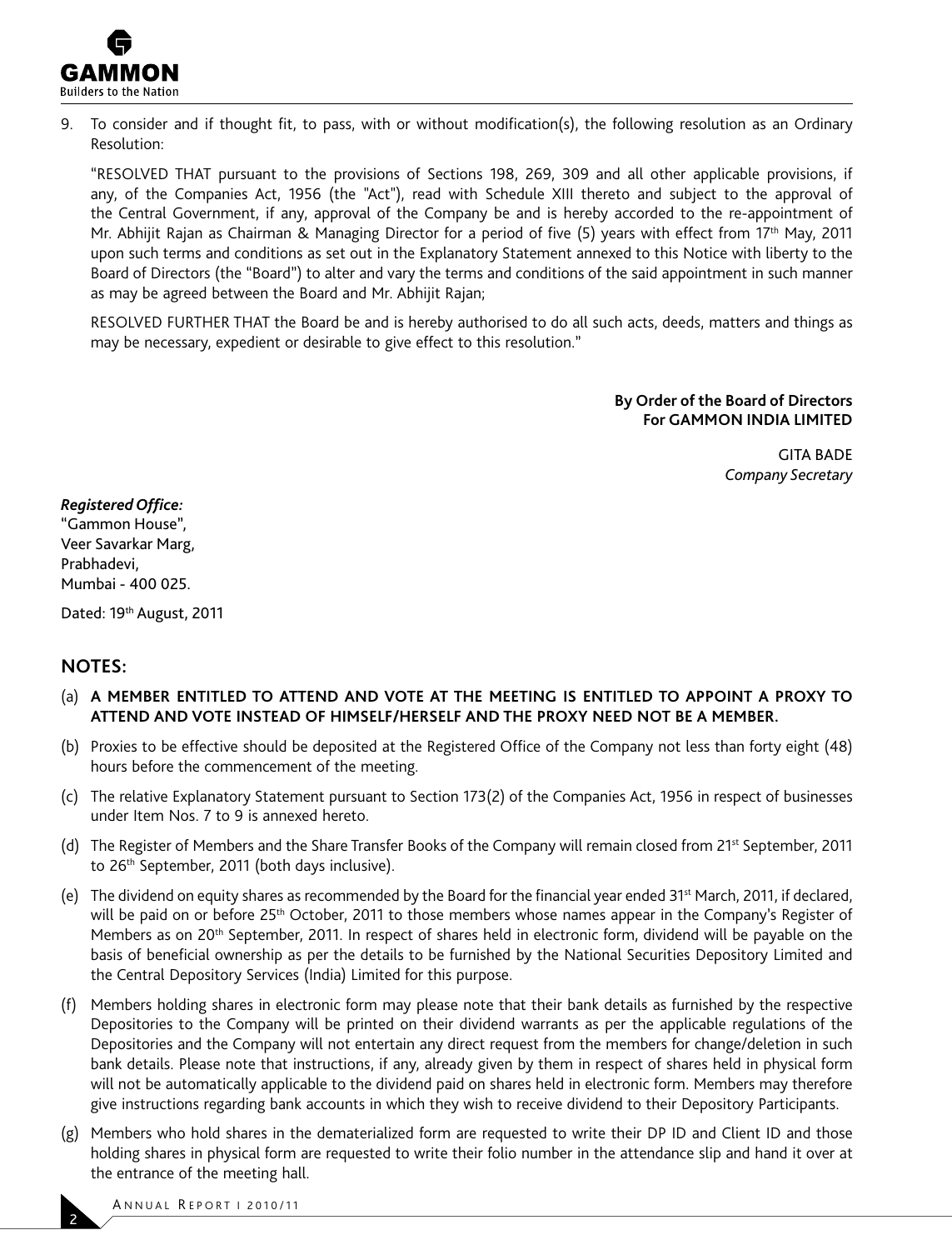

9. To consider and if thought fit, to pass, with or without modification(s), the following resolution as an Ordinary Resolution:

 "RESOLVED THAT pursuant to the provisions of Sections 198, 269, 309 and all other applicable provisions, if any, of the Companies Act, 1956 (the "Act"), read with Schedule XIII thereto and subject to the approval of the Central Government, if any, approval of the Company be and is hereby accorded to the re-appointment of Mr. Abhijit Rajan as Chairman & Managing Director for a period of five (5) years with effect from 17th May, 2011 upon such terms and conditions as set out in the Explanatory Statement annexed to this Notice with liberty to the Board of Directors (the "Board") to alter and vary the terms and conditions of the said appointment in such manner as may be agreed between the Board and Mr. Abhijit Rajan;

 RESOLVED FURTHER THAT the Board be and is hereby authorised to do all such acts, deeds, matters and things as may be necessary, expedient or desirable to give effect to this resolution."

> **By Order of the Board of Directors For GAMMON INDIA LIMITED**

> > GITA BADE *Company Secretary*

*Registered Office:*

"Gammon House", Veer Savarkar Marg, Prabhadevi, Mumbai - 400 025.

Dated: 19th August, 2011

### **NOTES:**

- (a) **A MEMBER ENTITLED TO ATTEND AND VOTE AT THE MEETING IS ENTITLED TO APPOINT A PROXY TO ATTEND AND VOTE INSTEAD OF HIMSELF/HERSELF AND THE PROXY NEED NOT BE A MEMBER.**
- (b) Proxies to be effective should be deposited at the Registered Office of the Company not less than forty eight (48) hours before the commencement of the meeting.
- (c) The relative Explanatory Statement pursuant to Section 173(2) of the Companies Act, 1956 in respect of businesses under Item Nos. 7 to 9 is annexed hereto.
- (d) The Register of Members and the Share Transfer Books of the Company will remain closed from 21<sup>st</sup> September, 2011 to 26<sup>th</sup> September, 2011 (both days inclusive).
- (e) The dividend on equity shares as recommended by the Board for the financial year ended 31<sup>st</sup> March, 2011, if declared, will be paid on or before 25<sup>th</sup> October, 2011 to those members whose names appear in the Company's Register of Members as on 20<sup>th</sup> September, 2011. In respect of shares held in electronic form, dividend will be payable on the basis of beneficial ownership as per the details to be furnished by the National Securities Depository Limited and the Central Depository Services (India) Limited for this purpose.
- (f) Members holding shares in electronic form may please note that their bank details as furnished by the respective Depositories to the Company will be printed on their dividend warrants as per the applicable regulations of the Depositories and the Company will not entertain any direct request from the members for change/deletion in such bank details. Please note that instructions, if any, already given by them in respect of shares held in physical form will not be automatically applicable to the dividend paid on shares held in electronic form. Members may therefore give instructions regarding bank accounts in which they wish to receive dividend to their Depository Participants.
- (g) Members who hold shares in the dematerialized form are requested to write their DP ID and Client ID and those holding shares in physical form are requested to write their folio number in the attendance slip and hand it over at the entrance of the meeting hall.

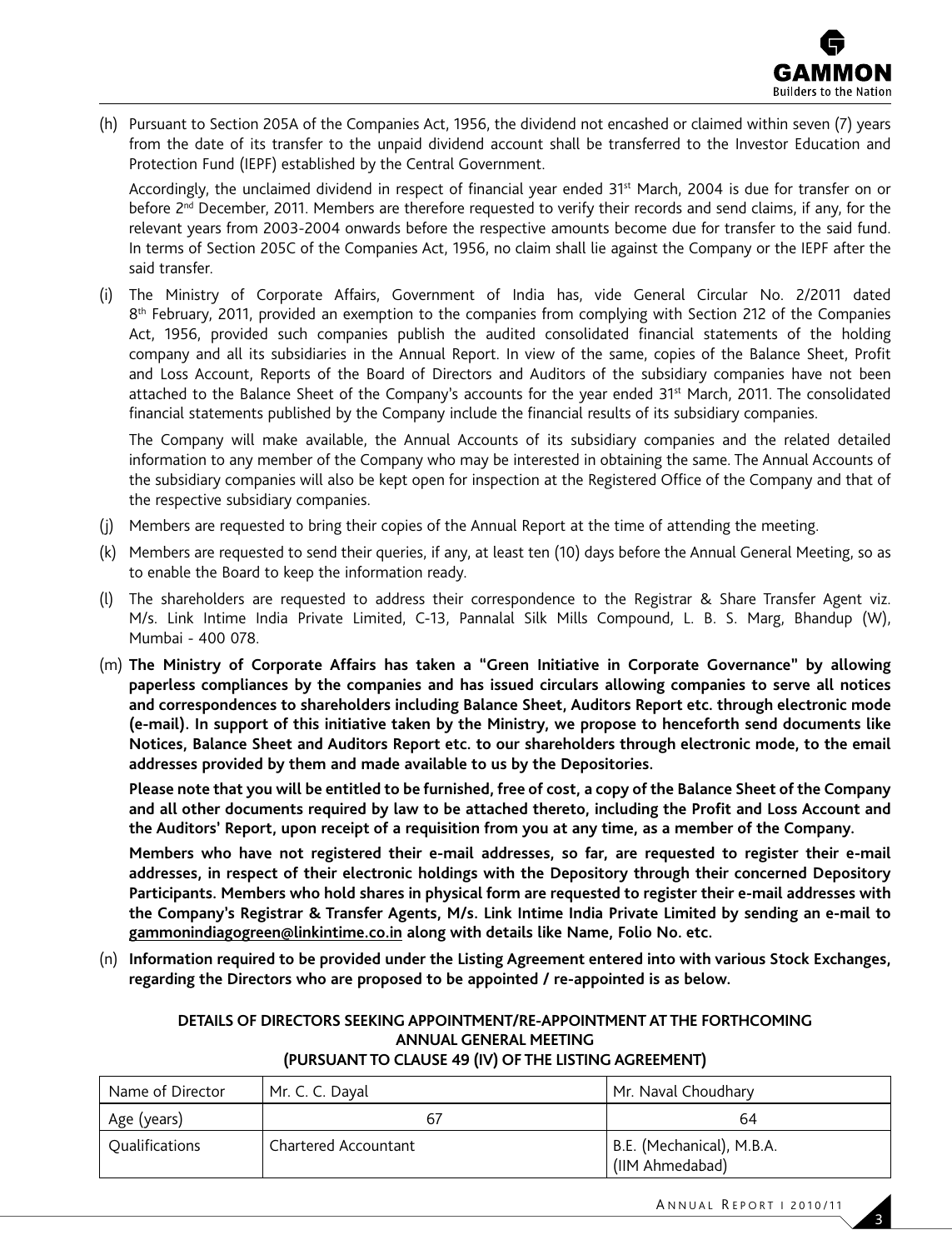

(h) Pursuant to Section 205A of the Companies Act, 1956, the dividend not encashed or claimed within seven (7) years from the date of its transfer to the unpaid dividend account shall be transferred to the Investor Education and Protection Fund (IEPF) established by the Central Government.

 Accordingly, the unclaimed dividend in respect of financial year ended 31st March, 2004 is due for transfer on or before 2<sup>nd</sup> December, 2011. Members are therefore requested to verify their records and send claims, if any, for the relevant years from 2003-2004 onwards before the respective amounts become due for transfer to the said fund. In terms of Section 205C of the Companies Act, 1956, no claim shall lie against the Company or the IEPF after the said transfer.

(i) The Ministry of Corporate Affairs, Government of India has, vide General Circular No. 2/2011 dated 8<sup>th</sup> February, 2011, provided an exemption to the companies from complying with Section 212 of the Companies Act, 1956, provided such companies publish the audited consolidated financial statements of the holding company and all its subsidiaries in the Annual Report. In view of the same, copies of the Balance Sheet, Profit and Loss Account, Reports of the Board of Directors and Auditors of the subsidiary companies have not been attached to the Balance Sheet of the Company's accounts for the year ended 31<sup>st</sup> March, 2011. The consolidated financial statements published by the Company include the financial results of its subsidiary companies.

 The Company will make available, the Annual Accounts of its subsidiary companies and the related detailed information to any member of the Company who may be interested in obtaining the same. The Annual Accounts of the subsidiary companies will also be kept open for inspection at the Registered Office of the Company and that of the respective subsidiary companies.

- (j) Members are requested to bring their copies of the Annual Report at the time of attending the meeting.
- (k) Members are requested to send their queries, if any, at least ten (10) days before the Annual General Meeting, so as to enable the Board to keep the information ready.
- (l) The shareholders are requested to address their correspondence to the Registrar & Share Transfer Agent viz. M/s. Link Intime India Private Limited, C-13, Pannalal Silk Mills Compound, L. B. S. Marg, Bhandup (W), Mumbai - 400 078.
- (m) **The Ministry of Corporate Affairs has taken a "Green Initiative in Corporate Governance" by allowing paperless compliances by the companies and has issued circulars allowing companies to serve all notices and correspondences to shareholders including Balance Sheet, Auditors Report etc. through electronic mode (e-mail). In support of this initiative taken by the Ministry, we propose to henceforth send documents like Notices, Balance Sheet and Auditors Report etc. to our shareholders through electronic mode, to the email addresses provided by them and made available to us by the Depositories.**

 **Please note that you will be entitled to be furnished, free of cost, a copy of the Balance Sheet of the Company and all other documents required by law to be attached thereto, including the Profit and Loss Account and the Auditors' Report, upon receipt of a requisition from you at any time, as a member of the Company.**

 **Members who have not registered their e-mail addresses, so far, are requested to register their e-mail addresses, in respect of their electronic holdings with the Depository through their concerned Depository Participants. Members who hold shares in physical form are requested to register their e-mail addresses with the Company's Registrar & Transfer Agents, M/s. Link Intime India Private Limited by sending an e-mail to gammonindiagogreen@linkintime.co.in along with details like Name, Folio No. etc.**

(n) **Information required to be provided under the Listing Agreement entered into with various Stock Exchanges, regarding the Directors who are proposed to be appointed / re-appointed is as below.**

## **DETAILS OF DIRECTORS SEEKING APPOINTMENT/RE-APPOINTMENT AT THE FORTHCOMING ANNUAL GENERAL MEETING**

### **(PURSUANT TO CLAUSE 49 (IV) OF THE LISTING AGREEMENT)**

| Name of Director      | Mr. C. C. Dayal      | Mr. Naval Choudhary                          |  |
|-----------------------|----------------------|----------------------------------------------|--|
| Age (years)           |                      | 64                                           |  |
| <b>Oualifications</b> | Chartered Accountant | B.E. (Mechanical), M.B.A.<br>(IIM Ahmedabad) |  |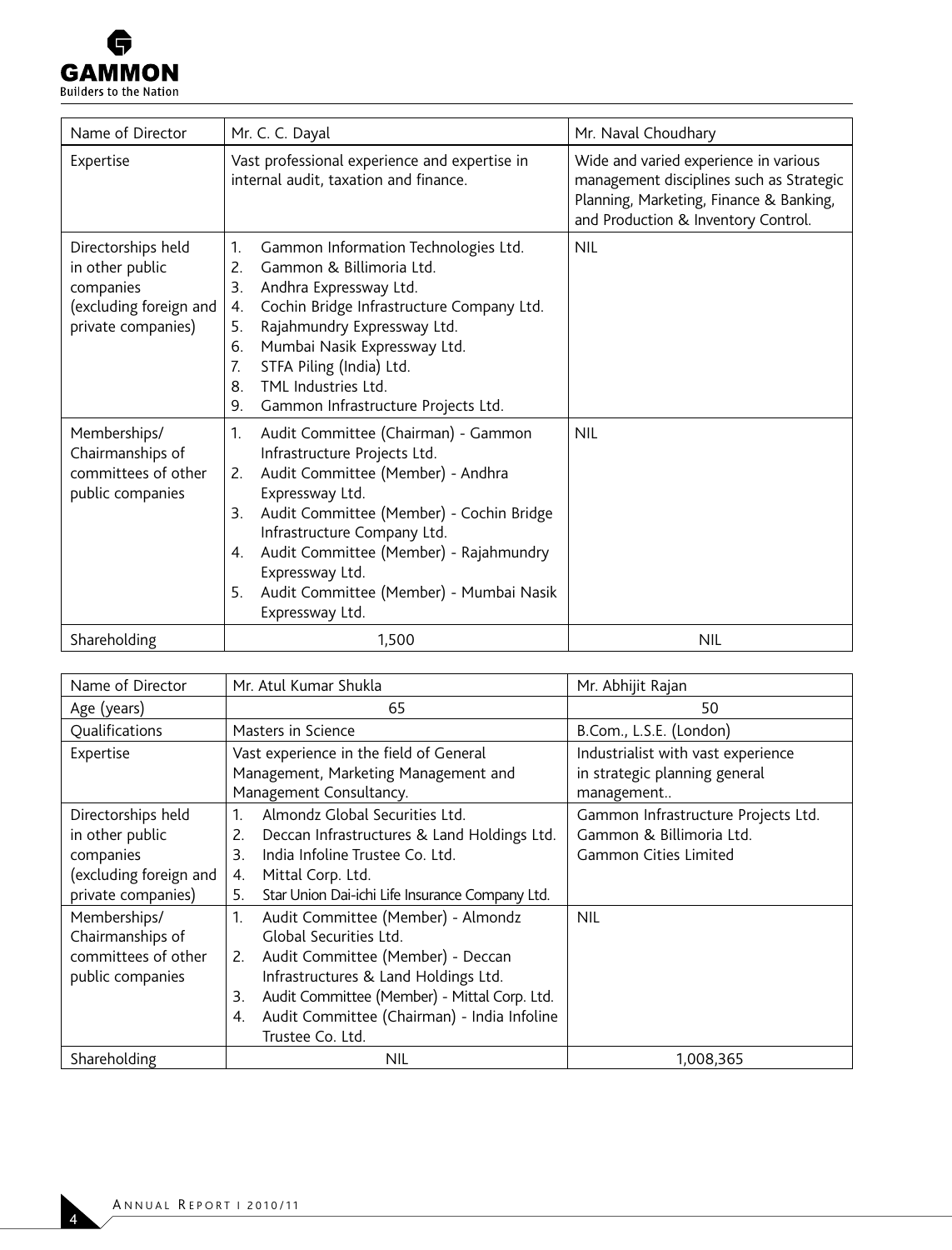

| Name of Director                                                                                   | Mr. C. C. Dayal                                                                                                                                                                                                                                                                                                                                                 | Mr. Naval Choudhary                                                                                                                                                 |  |
|----------------------------------------------------------------------------------------------------|-----------------------------------------------------------------------------------------------------------------------------------------------------------------------------------------------------------------------------------------------------------------------------------------------------------------------------------------------------------------|---------------------------------------------------------------------------------------------------------------------------------------------------------------------|--|
| Expertise                                                                                          | Vast professional experience and expertise in<br>internal audit, taxation and finance.                                                                                                                                                                                                                                                                          | Wide and varied experience in various<br>management disciplines such as Strategic<br>Planning, Marketing, Finance & Banking,<br>and Production & Inventory Control. |  |
| Directorships held<br>in other public<br>companies<br>(excluding foreign and<br>private companies) | 1.<br>Gammon Information Technologies Ltd.<br>Gammon & Billimoria Ltd.<br>2.<br>3.<br>Andhra Expressway Ltd.<br>Cochin Bridge Infrastructure Company Ltd.<br>4.<br>Rajahmundry Expressway Ltd.<br>5.<br>Mumbai Nasik Expressway Ltd.<br>6.<br>STFA Piling (India) Ltd.<br>7.<br>TML Industries Ltd.<br>8.<br>9.<br>Gammon Infrastructure Projects Ltd.          | <b>NIL</b>                                                                                                                                                          |  |
| Memberships/<br>Chairmanships of<br>committees of other<br>public companies                        | 1.<br>Audit Committee (Chairman) - Gammon<br>Infrastructure Projects Ltd.<br>Audit Committee (Member) - Andhra<br>2.<br>Expressway Ltd.<br>Audit Committee (Member) - Cochin Bridge<br>3.<br>Infrastructure Company Ltd.<br>Audit Committee (Member) - Rajahmundry<br>4.<br>Expressway Ltd.<br>Audit Committee (Member) - Mumbai Nasik<br>5.<br>Expressway Ltd. | <b>NIL</b>                                                                                                                                                          |  |
| Shareholding                                                                                       | 1.500                                                                                                                                                                                                                                                                                                                                                           | <b>NIL</b>                                                                                                                                                          |  |

| Name of Director                                                                                   | Mr. Atul Kumar Shukla                                                                                                                                                                                                                                                                | Mr. Abhijit Rajan                                                                               |  |
|----------------------------------------------------------------------------------------------------|--------------------------------------------------------------------------------------------------------------------------------------------------------------------------------------------------------------------------------------------------------------------------------------|-------------------------------------------------------------------------------------------------|--|
| Age (years)                                                                                        | 65                                                                                                                                                                                                                                                                                   | 50                                                                                              |  |
| Qualifications                                                                                     | Masters in Science                                                                                                                                                                                                                                                                   | B.Com., L.S.E. (London)                                                                         |  |
| Expertise                                                                                          | Vast experience in the field of General<br>Management, Marketing Management and<br>Management Consultancy.                                                                                                                                                                           | Industrialist with vast experience<br>in strategic planning general<br>management               |  |
| Directorships held<br>in other public<br>companies<br>(excluding foreign and<br>private companies) | Almondz Global Securities Ltd.<br>$\mathbf{1}$<br>2.<br>Deccan Infrastructures & Land Holdings Ltd.<br>India Infoline Trustee Co. Ltd.<br>3.<br>Mittal Corp. Ltd.<br>4.<br>5.<br>Star Union Dai-ichi Life Insurance Company Ltd.                                                     | Gammon Infrastructure Projects Ltd.<br>Gammon & Billimoria Ltd.<br><b>Gammon Cities Limited</b> |  |
| Memberships/<br>Chairmanships of<br>committees of other<br>public companies                        | 1.<br>Audit Committee (Member) - Almondz<br>Global Securities Ltd.<br>Audit Committee (Member) - Deccan<br>2.<br>Infrastructures & Land Holdings Ltd.<br>Audit Committee (Member) - Mittal Corp. Ltd.<br>3.<br>Audit Committee (Chairman) - India Infoline<br>4.<br>Trustee Co. Ltd. | <b>NIL</b>                                                                                      |  |
| Shareholding                                                                                       | NIL                                                                                                                                                                                                                                                                                  | 1,008,365                                                                                       |  |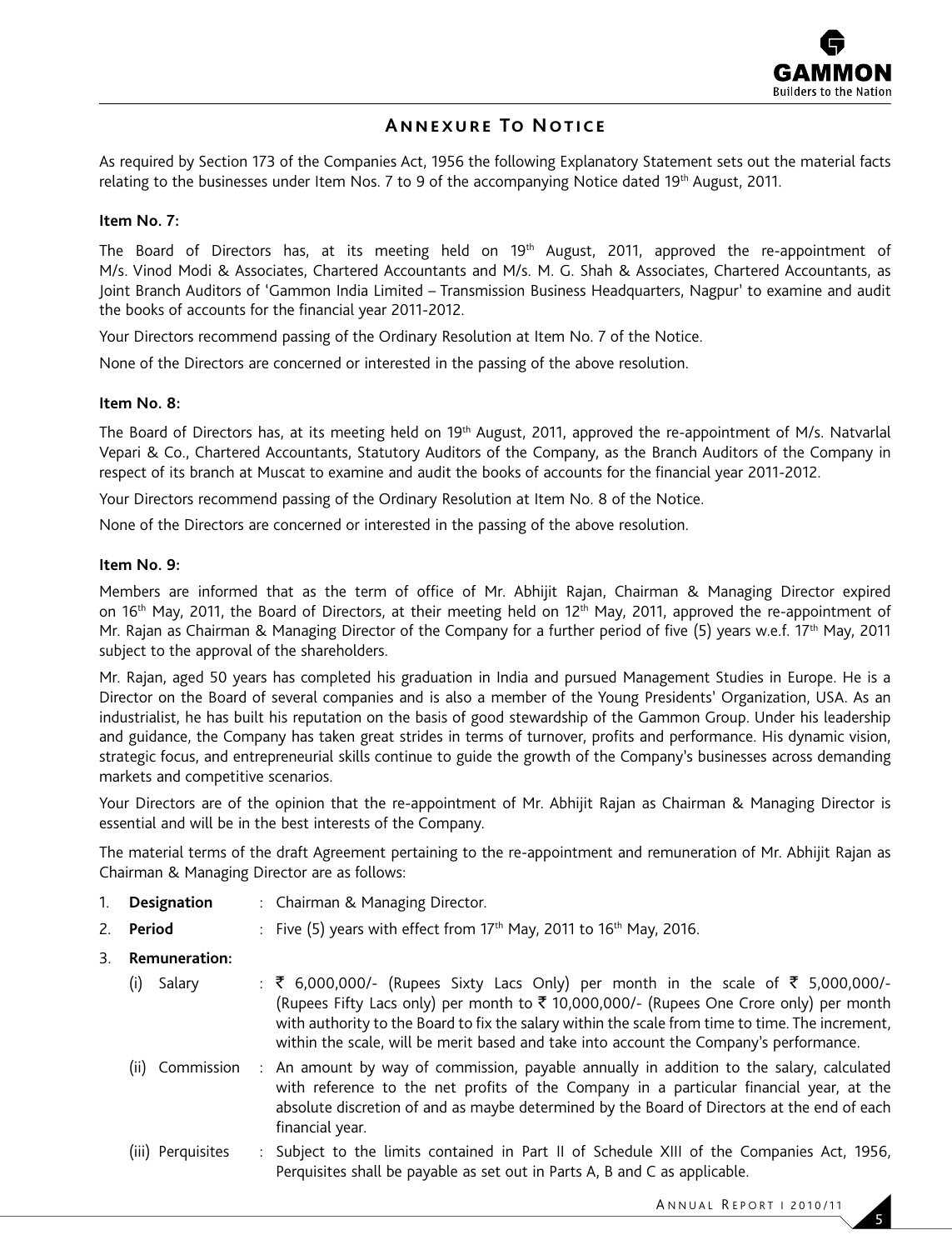

## **Annexure To Notice**

As required by Section 173 of the Companies Act, 1956 the following Explanatory Statement sets out the material facts relating to the businesses under Item Nos. 7 to 9 of the accompanying Notice dated 19th August, 2011.

#### **Item No. 7:**

The Board of Directors has, at its meeting held on 19<sup>th</sup> August, 2011, approved the re-appointment of M/s. Vinod Modi & Associates, Chartered Accountants and M/s. M. G. Shah & Associates, Chartered Accountants, as Joint Branch Auditors of 'Gammon India Limited – Transmission Business Headquarters, Nagpur' to examine and audit the books of accounts for the financial year 2011-2012.

Your Directors recommend passing of the Ordinary Resolution at Item No. 7 of the Notice.

None of the Directors are concerned or interested in the passing of the above resolution.

#### **Item No. 8:**

The Board of Directors has, at its meeting held on 19<sup>th</sup> August, 2011, approved the re-appointment of M/s. Natvarlal Vepari & Co., Chartered Accountants, Statutory Auditors of the Company, as the Branch Auditors of the Company in respect of its branch at Muscat to examine and audit the books of accounts for the financial year 2011-2012.

Your Directors recommend passing of the Ordinary Resolution at Item No. 8 of the Notice.

None of the Directors are concerned or interested in the passing of the above resolution.

#### **Item No. 9:**

Members are informed that as the term of office of Mr. Abhijit Rajan, Chairman & Managing Director expired on 16<sup>th</sup> May, 2011, the Board of Directors, at their meeting held on 12<sup>th</sup> May, 2011, approved the re-appointment of Mr. Rajan as Chairman & Managing Director of the Company for a further period of five (5) years w.e.f. 17<sup>th</sup> May, 2011 subject to the approval of the shareholders.

Mr. Rajan, aged 50 years has completed his graduation in India and pursued Management Studies in Europe. He is a Director on the Board of several companies and is also a member of the Young Presidents' Organization, USA. As an industrialist, he has built his reputation on the basis of good stewardship of the Gammon Group. Under his leadership and guidance, the Company has taken great strides in terms of turnover, profits and performance. His dynamic vision, strategic focus, and entrepreneurial skills continue to guide the growth of the Company's businesses across demanding markets and competitive scenarios.

Your Directors are of the opinion that the re-appointment of Mr. Abhijit Rajan as Chairman & Managing Director is essential and will be in the best interests of the Company.

The material terms of the draft Agreement pertaining to the re-appointment and remuneration of Mr. Abhijit Rajan as Chairman & Managing Director are as follows:

- 1. **Designation** : Chairman & Managing Director.
- 2. **Period** : Five (5) years with effect from 17<sup>th</sup> May, 2011 to 16<sup>th</sup> May, 2016.
- 3. **Remuneration:**

| (i) | Salary            | : ₹ 6,000,000/- (Rupees Sixty Lacs Only) per month in the scale of ₹ 5,000,000/-<br>(Rupees Fifty Lacs only) per month to $\bar{\tau}$ 10,000,000/- (Rupees One Crore only) per month<br>with authority to the Board to fix the salary within the scale from time to time. The increment,<br>within the scale, will be merit based and take into account the Company's performance. |
|-----|-------------------|-------------------------------------------------------------------------------------------------------------------------------------------------------------------------------------------------------------------------------------------------------------------------------------------------------------------------------------------------------------------------------------|
|     | (ii) Commission   | : An amount by way of commission, payable annually in addition to the salary, calculated<br>with reference to the net profits of the Company in a particular financial year, at the<br>absolute discretion of and as maybe determined by the Board of Directors at the end of each<br>financial year.                                                                               |
|     | (iii) Perquisites | : Subject to the limits contained in Part II of Schedule XIII of the Companies Act, 1956,                                                                                                                                                                                                                                                                                           |

Perquisites shall be payable as set out in Parts A, B and C as applicable.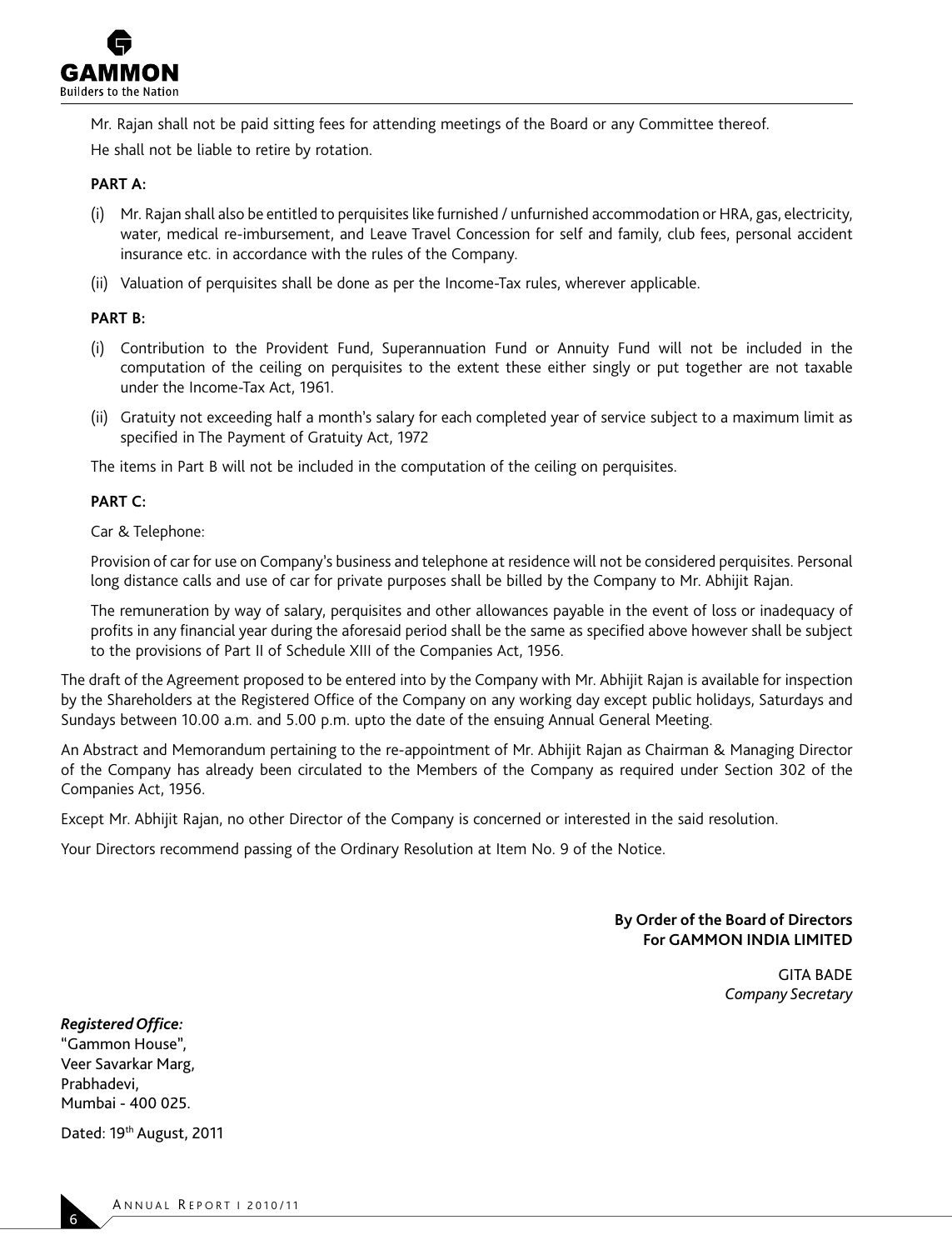

Mr. Rajan shall not be paid sitting fees for attending meetings of the Board or any Committee thereof. He shall not be liable to retire by rotation.

#### **PART A:**

- (i) Mr. Rajan shall also be entitled to perquisites like furnished / unfurnished accommodation or HRA, gas, electricity, water, medical re-imbursement, and Leave Travel Concession for self and family, club fees, personal accident insurance etc. in accordance with the rules of the Company.
- (ii) Valuation of perquisites shall be done as per the Income-Tax rules, wherever applicable.

### **PART B:**

- (i) Contribution to the Provident Fund, Superannuation Fund or Annuity Fund will not be included in the computation of the ceiling on perquisites to the extent these either singly or put together are not taxable under the Income-Tax Act, 1961.
- (ii) Gratuity not exceeding half a month's salary for each completed year of service subject to a maximum limit as specified in The Payment of Gratuity Act, 1972

The items in Part B will not be included in the computation of the ceiling on perquisites.

#### **PART C:**

Car & Telephone:

 Provision of car for use on Company's business and telephone at residence will not be considered perquisites. Personal long distance calls and use of car for private purposes shall be billed by the Company to Mr. Abhijit Rajan.

 The remuneration by way of salary, perquisites and other allowances payable in the event of loss or inadequacy of profits in any financial year during the aforesaid period shall be the same as specified above however shall be subject to the provisions of Part II of Schedule XIII of the Companies Act, 1956.

The draft of the Agreement proposed to be entered into by the Company with Mr. Abhijit Rajan is available for inspection by the Shareholders at the Registered Office of the Company on any working day except public holidays, Saturdays and Sundays between 10.00 a.m. and 5.00 p.m. upto the date of the ensuing Annual General Meeting.

An Abstract and Memorandum pertaining to the re-appointment of Mr. Abhijit Rajan as Chairman & Managing Director of the Company has already been circulated to the Members of the Company as required under Section 302 of the Companies Act, 1956.

Except Mr. Abhijit Rajan, no other Director of the Company is concerned or interested in the said resolution.

Your Directors recommend passing of the Ordinary Resolution at Item No. 9 of the Notice.

#### **By Order of the Board of Directors For GAMMON INDIA LIMITED**

GITA BADE *Company Secretary* 

*Registered Office:* "Gammon House", Veer Savarkar Marg,

Prabhadevi, Mumbai - 400 025.

Dated: 19<sup>th</sup> August, 2011